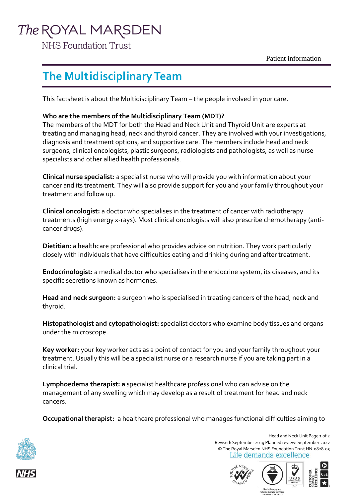# The ROYAL MARSDEN

**NHS Foundation Trust** 

Patient information

## **The Multidisciplinary Team**

This factsheet is about the Multidisciplinary Team – the people involved in your care.

### **Who are the members of the Multidisciplinary Team (MDT)?**

The members of the MDT for both the Head and Neck Unit and Thyroid Unit are experts at treating and managing head, neck and thyroid cancer. They are involved with your investigations, diagnosis and treatment options, and supportive care. The members include head and neck surgeons, clinical oncologists, plastic surgeons, radiologists and pathologists, as well as nurse specialists and other allied health professionals.

**Clinical nurse specialist:** a specialist nurse who will provide you with information about your cancer and its treatment. They will also provide support for you and your family throughout your treatment and follow up.

**Clinical oncologist:** a doctor who specialises in the treatment of cancer with radiotherapy treatments (high energy x-rays). Most clinical oncologists will also prescribe chemotherapy (anticancer drugs).

**Dietitian:** a healthcare professional who provides advice on nutrition. They work particularly closely with individuals that have difficulties eating and drinking during and after treatment.

**Endocrinologist:** a medical doctor who specialises in the endocrine system, its diseases, and its specific secretions known as hormones.

**Head and neck surgeon:** a surgeon who is specialised in treating cancers of the head, neck and thyroid.

**Histopathologist and cytopathologist:** specialist doctors who examine body tissues and organs under the microscope.

**Key worker:** your key worker acts as a point of contact for you and your family throughout your treatment. Usually this will be a specialist nurse or a research nurse if you are taking part in a clinical trial.

**Lymphoedema therapist: a** specialist healthcare professional who can advise on the management of any swelling which may develop as a result of treatment for head and neck cancers.

**Occupational therapist:** a healthcare professional who manages functional difficulties aiming to



Head and Neck Unit Page 1 of 2 Revised: September 2019 Planned review: September 2022 © The Royal Marsden NHS Foundation Trust HN-0828-05